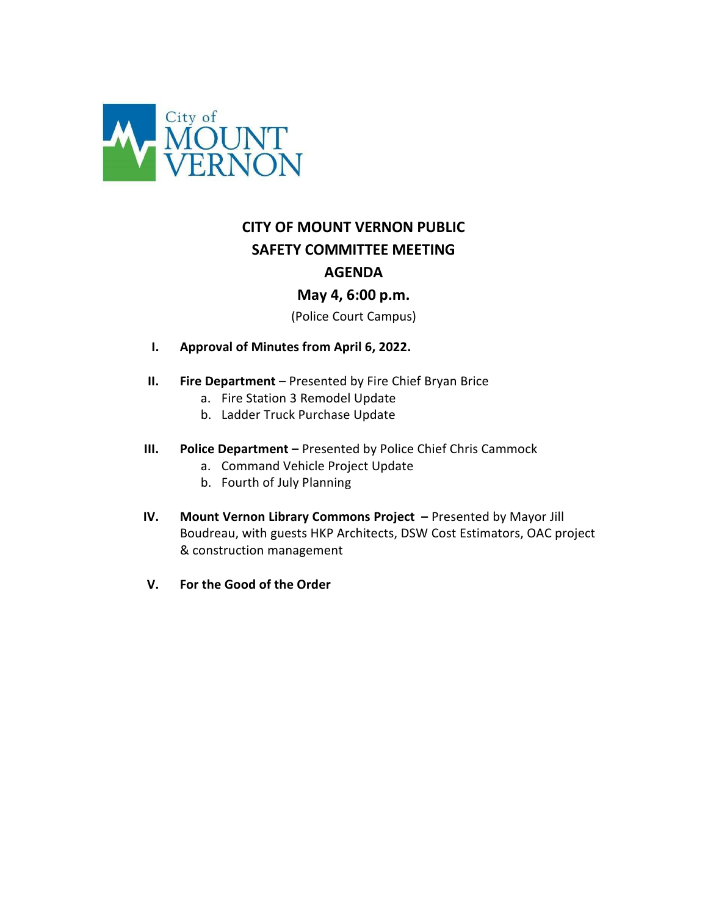

# **CITY OF MOUNT VERNON PUBLIC SAFETY COMMITTEE MEETING AGENDA**

# **May 4, 6:00 p.m.**

(Police Court Campus)

- **I. Approval of Minutes from April 6, 2022.**
- **II. Fire Department**  Presented by Fire Chief Bryan Brice
	- a. Fire Station 3 Remodel Update
	- b. Ladder Truck Purchase Update
- **III. Police Department** Presented by Police Chief Chris Cammock
	- a. Command Vehicle Project Update
	- b. Fourth of July Planning
- **IV. Mount Vernon Library Commons Project** Presented by Mayor Jill Boudreau, with guests HKP Architects, DSW Cost Estimators, OAC project & construction management
- **V. For the Good of the Order**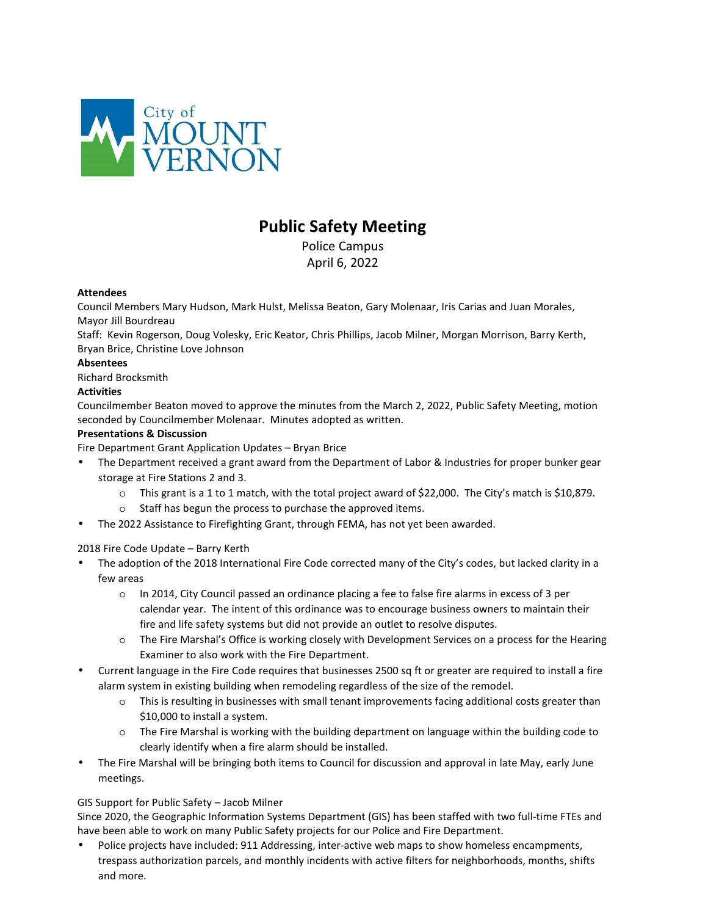

# **Public Safety Meeting**

Police Campus April 6, 2022

#### **Attendees**

Council Members Mary Hudson, Mark Hulst, Melissa Beaton, Gary Molenaar, Iris Carias and Juan Morales, Mayor Jill Bourdreau

Staff: Kevin Rogerson, Doug Volesky, Eric Keator, Chris Phillips, Jacob Milner, Morgan Morrison, Barry Kerth, Bryan Brice, Christine Love Johnson

#### **Absentees**

Richard Brocksmith

# **Activities**

Councilmember Beaton moved to approve the minutes from the March 2, 2022, Public Safety Meeting, motion seconded by Councilmember Molenaar. Minutes adopted as written.

#### **Presentations & Discussion**

Fire Department Grant Application Updates – Bryan Brice

- The Department received a grant award from the Department of Labor & Industries for proper bunker gear storage at Fire Stations 2 and 3.
	- o This grant is a 1 to 1 match, with the total project award of \$22,000. The City's match is \$10,879.
	- o Staff has begun the process to purchase the approved items.
- The 2022 Assistance to Firefighting Grant, through FEMA, has not yet been awarded.

# 2018 Fire Code Update – Barry Kerth

- The adoption of the 2018 International Fire Code corrected many of the City's codes, but lacked clarity in a few areas
	- o In 2014, City Council passed an ordinance placing a fee to false fire alarms in excess of 3 per calendar year. The intent of this ordinance was to encourage business owners to maintain their fire and life safety systems but did not provide an outlet to resolve disputes.
	- o The Fire Marshal's Office is working closely with Development Services on a process for the Hearing Examiner to also work with the Fire Department.
- Current language in the Fire Code requires that businesses 2500 sq ft or greater are required to install a fire alarm system in existing building when remodeling regardless of the size of the remodel.
	- $\circ$  This is resulting in businesses with small tenant improvements facing additional costs greater than \$10,000 to install a system.
	- o The Fire Marshal is working with the building department on language within the building code to clearly identify when a fire alarm should be installed.
- The Fire Marshal will be bringing both items to Council for discussion and approval in late May, early June meetings.

# GIS Support for Public Safety – Jacob Milner

Since 2020, the Geographic Information Systems Department (GIS) has been staffed with two full-time FTEs and have been able to work on many Public Safety projects for our Police and Fire Department.

• Police projects have included: 911 Addressing, inter-active web maps to show homeless encampments, trespass authorization parcels, and monthly incidents with active filters for neighborhoods, months, shifts and more.